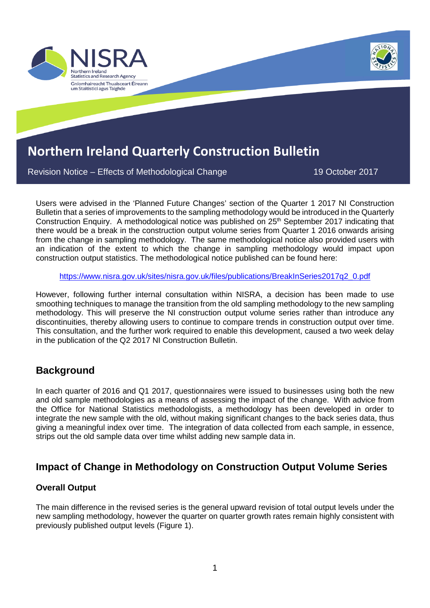

Revision Notice – Effects of Methodological Change 19 Notice 19 October 2017

Users were advised in the 'Planned Future Changes' section of the Quarter 1 2017 NI Construction Bulletin that a series of improvements to the sampling methodology would be introduced in the Quarterly Construction Enquiry. A methodological notice was published on 25<sup>th</sup> September 2017 indicating that there would be a break in the construction output volume series from Quarter 1 2016 onwards arising from the change in sampling methodology. The same methodological notice also provided users with an indication of the extent to which the change in sampling methodology would impact upon construction output statistics. The methodological notice published can be found here:

[https://www.nisra.gov.uk/sites/nisra.gov.uk/files/publications/BreakInSeries2017q2\\_0.pdf](https://www.nisra.gov.uk/sites/nisra.gov.uk/files/publications/BreakInSeries2017q2_0.pdf)

However, following further internal consultation within NISRA, a decision has been made to use smoothing techniques to manage the transition from the old sampling methodology to the new sampling methodology. This will preserve the NI construction output volume series rather than introduce any discontinuities, thereby allowing users to continue to compare trends in construction output over time. This consultation, and the further work required to enable this development, caused a two week delay in the publication of the Q2 2017 NI Construction Bulletin.

# **Background**

In each quarter of 2016 and Q1 2017, questionnaires were issued to businesses using both the new and old sample methodologies as a means of assessing the impact of the change. With advice from the Office for National Statistics methodologists, a methodology has been developed in order to integrate the new sample with the old, without making significant changes to the back series data, thus giving a meaningful index over time. The integration of data collected from each sample, in essence, strips out the old sample data over time whilst adding new sample data in.

### **Impact of Change in Methodology on Construction Output Volume Series**

#### **Overall Output**

The main difference in the revised series is the general upward revision of total output levels under the new sampling methodology, however the quarter on quarter growth rates remain highly consistent with previously published output levels (Figure 1).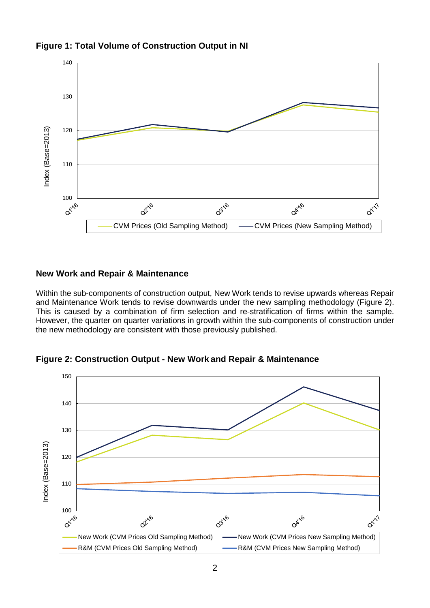



### **New Work and Repair & Maintenance**

Within the sub-components of construction output, New Work tends to revise upwards whereas Repair and Maintenance Work tends to revise downwards under the new sampling methodology (Figure 2). This is caused by a combination of firm selection and re-stratification of firms within the sample. However, the quarter on quarter variations in growth within the sub-components of construction under the new methodology are consistent with those previously published.

**Figure 2: Construction Output - New Work and Repair & Maintenance**

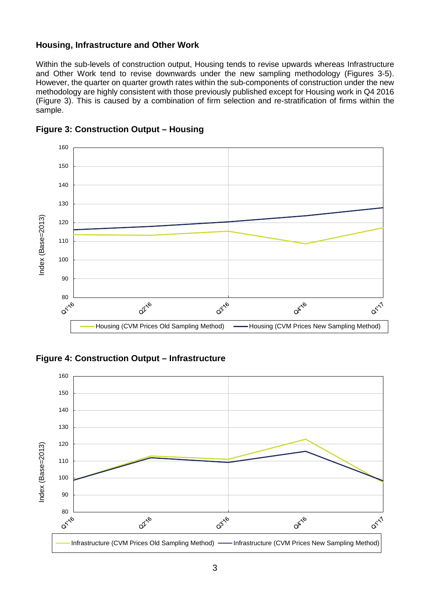#### **Housing, Infrastructure and Other Work**

Within the sub-levels of construction output, Housing tends to revise upwards whereas Infrastructure and Other Work tend to revise downwards under the new sampling methodology (Figures 3-5). However, the quarter on quarter growth rates within the sub-components of construction under the new methodology are highly consistent with those previously published except for Housing work in Q4 2016 (Figure 3). This is caused by a combination of firm selection and re-stratification of firms within the sample.



**Figure 3: Construction Output – Housing**

**Figure 4: Construction Output – Infrastructure**